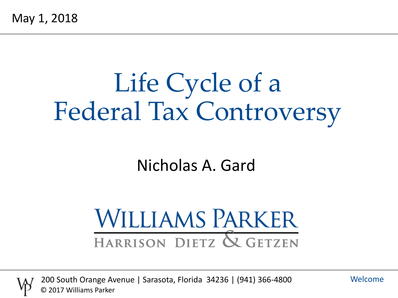# Life Cycle of a Federal Tax Controversy

#### Nicholas A. Gard

# **WILLIAMS PARKER** HARRISON DIETZ & GETZEN



200 South Orange Avenue | Sarasota, Florida 34236 | (941) 366-4800 © 2017 Williams Parker

Welcome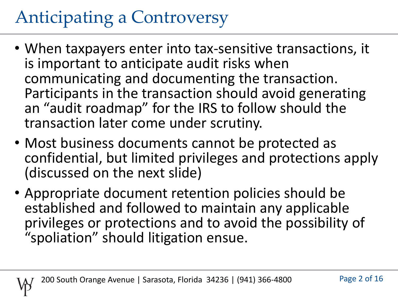# Anticipating a Controversy

- When taxpayers enter into tax-sensitive transactions, it is important to anticipate audit risks when communicating and documenting the transaction. Participants in the transaction should avoid generating an "audit roadmap" for the IRS to follow should the transaction later come under scrutiny.
- Most business documents cannot be protected as confidential, but limited privileges and protections apply (discussed on the next slide)
- Appropriate document retention policies should be established and followed to maintain any applicable privileges or protections and to avoid the possibility of "spoliation" should litigation ensue.

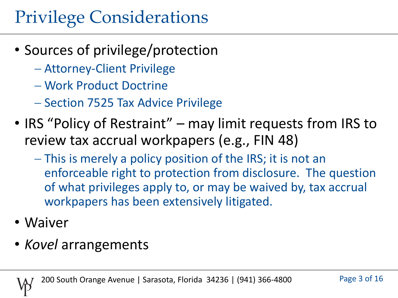### Privilege Considerations

- Sources of privilege/protection
	- Attorney-Client Privilege
	- Work Product Doctrine
	- Section 7525 Tax Advice Privilege
- IRS "Policy of Restraint" may limit requests from IRS to review tax accrual workpapers (e.g., FIN 48)
	- This is merely a policy position of the IRS; it is not an enforceable right to protection from disclosure. The question of what privileges apply to, or may be waived by, tax accrual workpapers has been extensively litigated.
- Waiver
- *Kovel* arrangements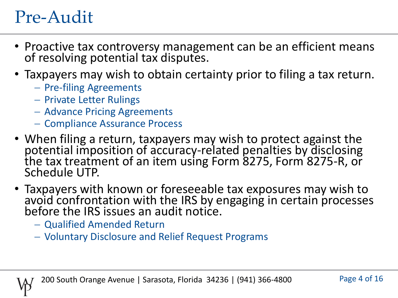#### Pre-Audit

- Proactive tax controversy management can be an efficient means of resolving potential tax disputes.
- Taxpayers may wish to obtain certainty prior to filing a tax return.
	- Pre-filing Agreements
	- Private Letter Rulings
	- Advance Pricing Agreements
	- Compliance Assurance Process
- When filing a return, taxpayers may wish to protect against the potential imposition of accuracy-related penalties by disclosing the tax treatment of an item using Form 8275, Form 8275-R, or Schedule UTP.
- Taxpayers with known or foreseeable tax exposures may wish to avoid confrontation with the IRS by engaging in certain processes before the IRS issues an audit notice.
	- Qualified Amended Return
	- Voluntary Disclosure and Relief Request Programs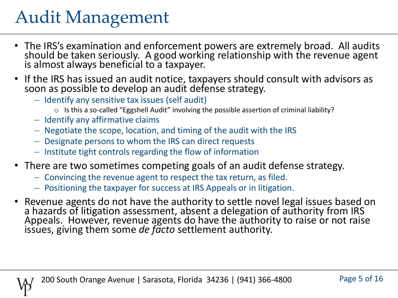### Audit Management

- The IRS's examination and enforcement powers are extremely broad. All audits should be taken seriously. A good working relationship with the revenue agent is almost always beneficial to a taxpayer.
- If the IRS has issued an audit notice, taxpayers should consult with advisors as soon as possible to develop an audit defense strategy.
	- Identify any sensitive tax issues (self audit)
		- o Is this a so-called "Eggshell Audit" involving the possible assertion of criminal liability?
	- $-$  Identify any affirmative claims
	- Negotiate the scope, location, and timing of the audit with the IRS
	- Designate persons to whom the IRS can direct requests
	- $-$  Institute tight controls regarding the flow of information
- There are two sometimes competing goals of an audit defense strategy.
	- Convincing the revenue agent to respect the tax return, as filed.
	- Positioning the taxpayer for success at IRS Appeals or in litigation.
- Revenue agents do not have the authority to settle novel legal issues based on a hazards of litigation assessment, absent a delegation of authority from IRS Appeals. However, revenue agents do have the authority to raise or not raise issues, giving them some *de facto* settlement authority.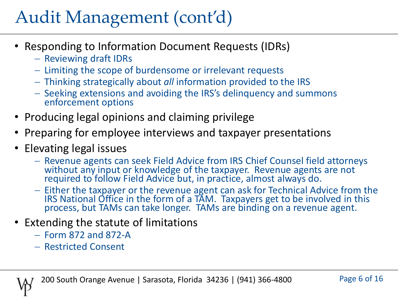## Audit Management (cont'd)

- Responding to Information Document Requests (IDRs)
	- Reviewing draft IDRs
	- Limiting the scope of burdensome or irrelevant requests
	- Thinking strategically about *all* information provided to the IRS
	- Seeking extensions and avoiding the IRS's delinguency and summons enforcement options
- Producing legal opinions and claiming privilege
- Preparing for employee interviews and taxpayer presentations
- Elevating legal issues
	- Revenue agents can seek Field Advice from IRS Chief Counsel field attorneys without any input or knowledge of the taxpayer. Revenue agents are not required to follow Field Advice but, in practice, almost always do.
	- Either the taxpayer or the revenue agent can ask for Technical Advice from the IRS National Office in the form of a TAM. Taxpayers get to be involved in this process, but TAMs can take longer. TAMs are binding on a revenue agent.
- Extending the statute of limitations
	- Form 872 and 872-A
	- Restricted Consent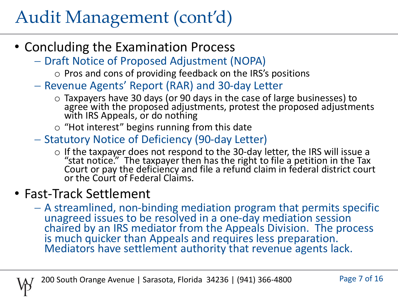### Audit Management (cont'd)

- Concluding the Examination Process
	- $-$  Draft Notice of Proposed Adjustment (NOPA)
		- o Pros and cons of providing feedback on the IRS's positions
	- Revenue Agents' Report (RAR) and 30-day Letter
		- o Taxpayers have 30 days (or 90 days in the case of large businesses) to agree with the proposed adjustments, protest the proposed adjustments with IRS Appeals, or do nothing
		- $\circ$  "Hot interest" begins running from this date
	- Statutory Notice of Deficiency (90-day Letter)
		- o If the taxpayer does not respond to the 30-day letter, the IRS will issue a "stat notice." The taxpayer then has the right to file a petition in the Tax Court or pay the deficiency and file a refund claim in federal district court or the Court of Federal Claims.

#### • Fast-Track Settlement

 A streamlined, non-binding mediation program that permits specific unagreed issues to be resolved in a one-day mediation session chaired by an IRS mediator from the Appeals Division. The process is much quicker than Appeals and requires less preparation. Mediators have settlement authority that revenue agents lack.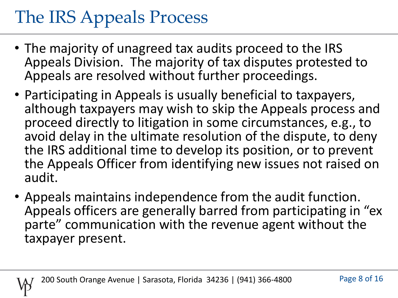# The IRS Appeals Process

- The majority of unagreed tax audits proceed to the IRS Appeals Division. The majority of tax disputes protested to Appeals are resolved without further proceedings.
- Participating in Appeals is usually beneficial to taxpayers, although taxpayers may wish to skip the Appeals process and proceed directly to litigation in some circumstances, e.g., to avoid delay in the ultimate resolution of the dispute, to deny the IRS additional time to develop its position, or to prevent the Appeals Officer from identifying new issues not raised on audit.
- Appeals maintains independence from the audit function. Appeals officers are generally barred from participating in "ex parte" communication with the revenue agent without the taxpayer present.

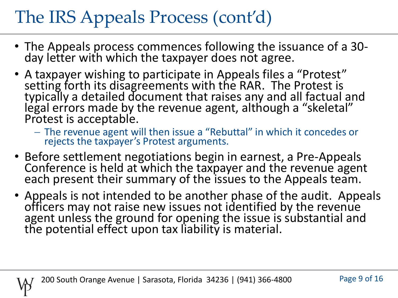# The IRS Appeals Process (cont'd)

- The Appeals process commences following the issuance of a 30 day letter with which the taxpayer does not agree.
- A taxpayer wishing to participate in Appeals files a "Protest" setting forth its disagreements with the RAR. The Protest is typically a detailed document that raises any and all factual and legal errors made by the revenue agent, although a "skeletal" Protest is acceptable.
	- The revenue agent will then issue a "Rebuttal" in which it concedes or rejects the taxpayer's Protest arguments.
- Before settlement negotiations begin in earnest, a Pre-Appeals Conference is held at which the taxpayer and the revenue agent each present their summary of the issues to the Appeals team.
- Appeals is not intended to be another phase of the audit. Appeals officers may not raise new issues not identified by the revenue agent unless the ground for opening the issue is substantial and the potential effect upon tax liability is material.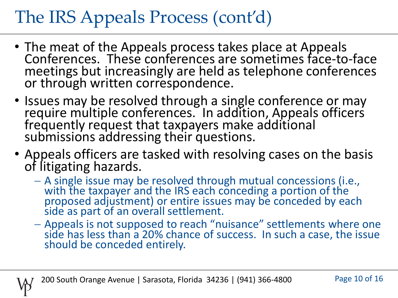## The IRS Appeals Process (cont'd)

- The meat of the Appeals process takes place at Appeals Conferences. These conferences are sometimes face-to-face meetings but increasingly are held as telephone conferences or through written correspondence.
- Issues may be resolved through a single conference or may require multiple conferences. In addition, Appeals officers frequently request that taxpayers make additional submissions addressing their questions.
- Appeals officers are tasked with resolving cases on the basis of litigating hazards.
	- A single issue may be resolved through mutual concessions (i.e., with the taxpayer and the IRS each conceding a portion of the proposed adjustment) or entire issues may be conceded by each side as part of an overall settlement.
	- Appeals is not supposed to reach "nuisance" settlements where one side has less than a 20% chance of success. In such a case, the issue should be conceded entirely.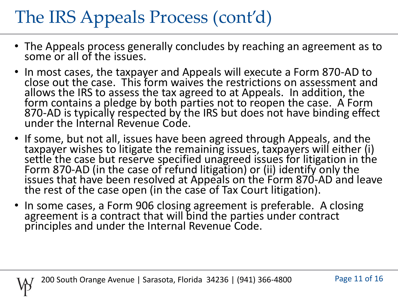# The IRS Appeals Process (cont'd)

- The Appeals process generally concludes by reaching an agreement as to some or all of the issues.
- In most cases, the taxpayer and Appeals will execute a Form 870-AD to close out the case. This form waives the restrictions on assessment and allows the IRS to assess the tax agreed to at Appeals. In addition, the form contains a pledge by both parties not to reopen the case. A Form 870-AD is typically respected by the IRS but does not have binding effect under the Internal Revenue Code.
- If some, but not all, issues have been agreed through Appeals, and the taxpayer wishes to litigate the remaining issues, taxpayers will either (i) settle the case but reserve specified unagreed issues for litigation in the Form 870-AD (in the case of refund litigation) or (ii) identify only the issues that have been resolved at Appeals on the Form 870-AD and leave the rest of the case open (in the case of Tax Court litigation).
- In some cases, a Form 906 closing agreement is preferable. A closing agreement is a contract that will bind the parties under contract principles and under the Internal Revenue Code.

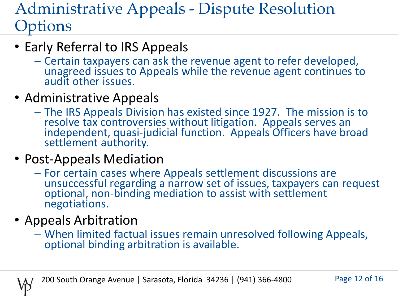#### Administrative Appeals - Dispute Resolution **Options**

- Early Referral to IRS Appeals
	- Certain taxpayers can ask the revenue agent to refer developed, unagreed issues to Appeals while the revenue agent continues to audit other issues.
- Administrative Appeals
	- The IRS Appeals Division has existed since 1927. The mission is to resolve tax controversies without litigation. Appeals serves an independent, quasi-judicial function. Appeals Officers have broad settlement authority.
- Post-Appeals Mediation
	- For certain cases where Appeals settlement discussions are unsuccessful regarding a narrow set of issues, taxpayers can request optional, non-binding mediation to assist with settlement negotiations.
- Appeals Arbitration
	- When limited factual issues remain unresolved following Appeals, optional binding arbitration is available.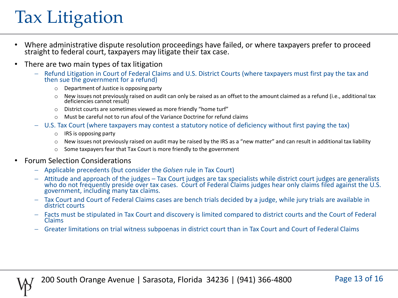### Tax Litigation

- Where administrative dispute resolution proceedings have failed, or where taxpayers prefer to proceed straight to federal court, taxpayers may litigate their tax case.
- There are two main types of tax litigation
	- Refund Litigation in Court of Federal Claims and U.S. District Courts (where taxpayers must first pay the tax and then sue the government for a refund)
		- o Department of Justice is opposing party
		- o New issues not previously raised on audit can only be raised as an offset to the amount claimed as a refund (i.e., additional tax deficiencies cannot result)
		- o District courts are sometimes viewed as more friendly "home turf"
		- o Must be careful not to run afoul of the Variance Doctrine for refund claims
	- U.S. Tax Court (where taxpayers may contest a statutory notice of deficiency without first paying the tax)
		- o IRS is opposing party
		- $\circ$  New issues not previously raised on audit may be raised by the IRS as a "new matter" and can result in additional tax liability
		- o Some taxpayers fear that Tax Court is more friendly to the government
- Forum Selection Considerations
	- Applicable precedents (but consider the *Golsen* rule in Tax Court)
	- Attitude and approach of the judges Tax Court judges are tax specialists while district court judges are generalists who do not frequently preside over tax cases. Court of Federal Claims judges hear only claims filed against the U.S. government, including many tax claims.
	- Tax Court and Court of Federal Claims cases are bench trials decided by a judge, while jury trials are available in district courts
	- Facts must be stipulated in Tax Court and discovery is limited compared to district courts and the Court of Federal Claims
	- Greater limitations on trial witness subpoenas in district court than in Tax Court and Court of Federal Claims

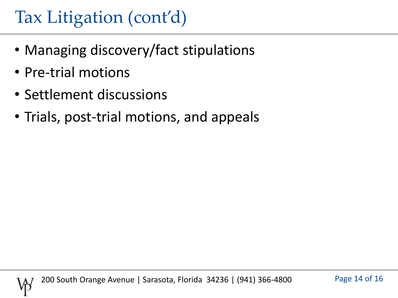#### Tax Litigation (cont'd)

- Managing discovery/fact stipulations
- Pre-trial motions
- Settlement discussions
- Trials, post-trial motions, and appeals

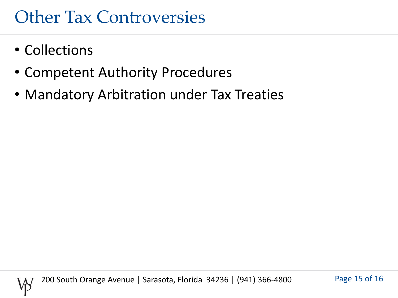#### Other Tax Controversies

- Collections
- Competent Authority Procedures
- Mandatory Arbitration under Tax Treaties